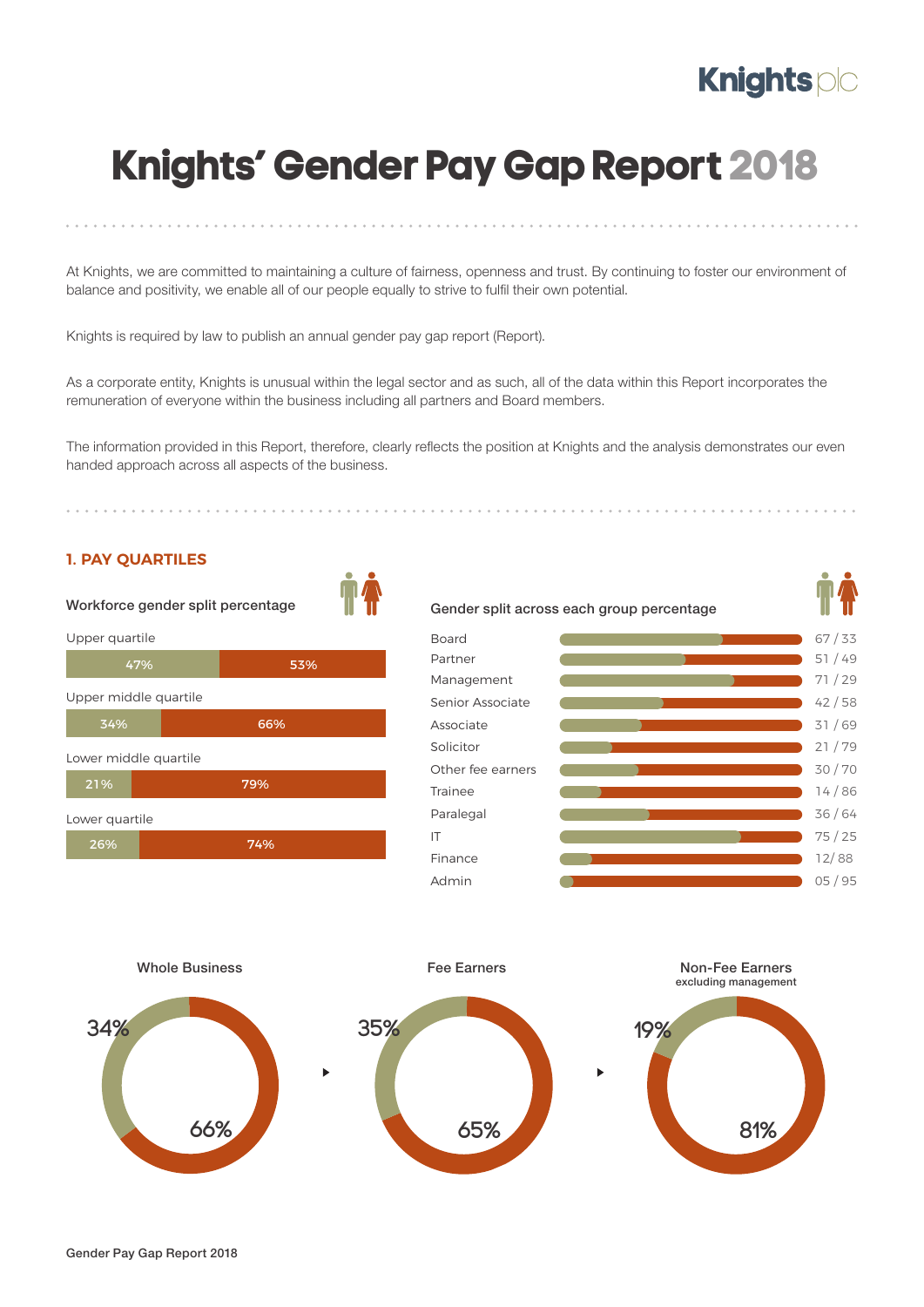### **Knights plc**

# **Knights' Gender Pay Gap Report 2018**

At Knights, we are committed to maintaining a culture of fairness, openness and trust. By continuing to foster our environment of balance and positivity, we enable all of our people equally to strive to fulfil their own potential.

Knights is required by law to publish an annual gender pay gap report (Report).

As a corporate entity, Knights is unusual within the legal sector and as such, all of the data within this Report incorporates the remuneration of everyone within the business including all partners and Board members.

The information provided in this Report, therefore, clearly reflects the position at Knights and the analysis demonstrates our even handed approach across all aspects of the business.

#### **1. PAY QUARTILES**

Workforce gender split percentage





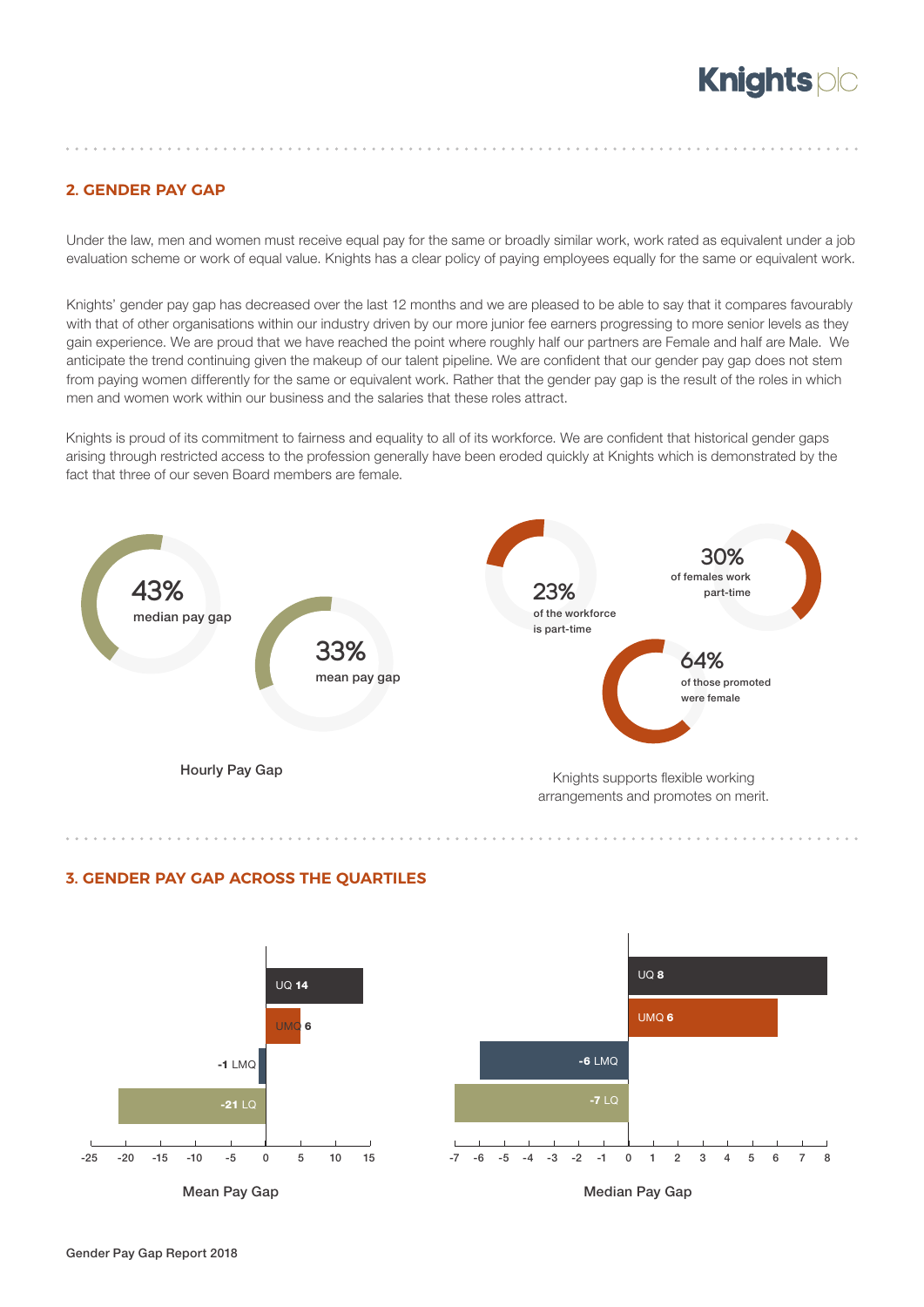## **Knights plc**

### **2. GENDER PAY GAP**

Under the law, men and women must receive equal pay for the same or broadly similar work, work rated as equivalent under a job evaluation scheme or work of equal value. Knights has a clear policy of paying employees equally for the same or equivalent work.

Knights' gender pay gap has decreased over the last 12 months and we are pleased to be able to say that it compares favourably with that of other organisations within our industry driven by our more junior fee earners progressing to more senior levels as they gain experience. We are proud that we have reached the point where roughly half our partners are Female and half are Male. We anticipate the trend continuing given the makeup of our talent pipeline. We are confident that our gender pay gap does not stem from paying women differently for the same or equivalent work. Rather that the gender pay gap is the result of the roles in which men and women work within our business and the salaries that these roles attract.

Knights is proud of its commitment to fairness and equality to all of its workforce. We are confident that historical gender gaps arising through restricted access to the profession generally have been eroded quickly at Knights which is demonstrated by the fact that three of our seven Board members are female.





### **3. GENDER PAY GAP ACROSS THE QUARTILES**